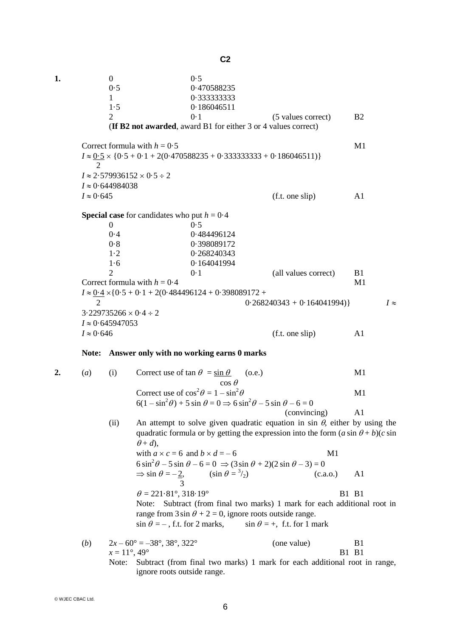**1.** 0 0.5 0.5 0.470588235 1 0·333333333 1·5 0·186046511 2 0·1 (5 values correct) B2 (**If B2 not awarded**, award B1 for either 3 or 4 values correct) Correct formula with  $h = 0.5$  M1  $I \approx 0.5 \times \{0.5 + 0.1 + 2(0.470588235 + 0.333333333 + 0.186046511)\}\$  2  $I \approx 2.579936152 \times 0.5 \div 2$  $I \approx 0.644984038$  $I \approx 0.645$  (f.t. one slip) A1 **Special case** for candidates who put  $h = 0.4$  $0 \hspace{3.2cm} 0.5$ 0·4 0·484496124 0·8 0·398089172 1·2 0·268240343 1·6 0·164041994 2 0·1 (all values correct) B1 Correct formula with  $h = 0.4$  M1  $I \approx 0.4 \times \{0.5 + 0.1 + 2(0.484496124 + 0.398089172 + 0.398089172 + 0.398089172 + 0.398089172 + 0.398089172 + 0.398089172 + 0.398089172 + 0.398089172 + 0.398089172 + 0.398089172 + 0.398089172 + 0.398089172 + 0.398089172 + 0.398089172 + 0.$  2 0·268240343 + 0·164041994)} *I*  $3.229735266 \times 0.4 \div 2$  $I \approx 0.645947053$  $I \approx 0.646$  (f.t. one slip) A1 **Note: Answer only with no working earns 0 marks 2.** (*a*) (i) Correct use of tan  $\theta = \sin \theta$  (o.e.) M1  $\cos \theta$ Correct use of  $\cos^2 \theta = 1 - \sin^2 \theta$  $\theta$  M1  $6(1 - \sin^2 \theta) + 5 \sin \theta = 0 \Rightarrow 6 \sin^2 \theta - 5 \sin \theta - 6 = 0$  (convincing) A1 (ii) An attempt to solve given quadratic equation in sin  $\theta$ , either by using the quadratic formula or by getting the expression into the form  $(a \sin \theta + b)(c \sin \theta)$  $\theta + d$ , with  $a \times c = 6$  and  $b \times d = -6$  M1  $6 \sin^2 \theta - 5 \sin \theta - 6 = 0 \Rightarrow (3 \sin \theta + 2)(2 \sin \theta - 3) = 0$  $\Rightarrow$  sin  $\theta = -2$ ,  $(\sin \theta = \frac{3}{2})$  $(c.a.o.)$  A1 3  $\theta = 221.81^\circ, 318.19^\circ$  B1 B1 Note: Subtract (from final two marks) 1 mark for each additional root in range from  $3 \sin \theta + 2 = 0$ , ignore roots outside range.  $\sin \theta = -$ , f.t. for 2 marks,  $\sin \theta = +$ , f.t. for 1 mark (*b*)  $2x - 60^{\circ} = -38^{\circ}, 38^{\circ}, 322^{\circ}$  (one value) B1  $x = 11^\circ, 49^\circ$  B1 B1 Note: Subtract (from final two marks) 1 mark for each additional root in range,

ignore roots outside range.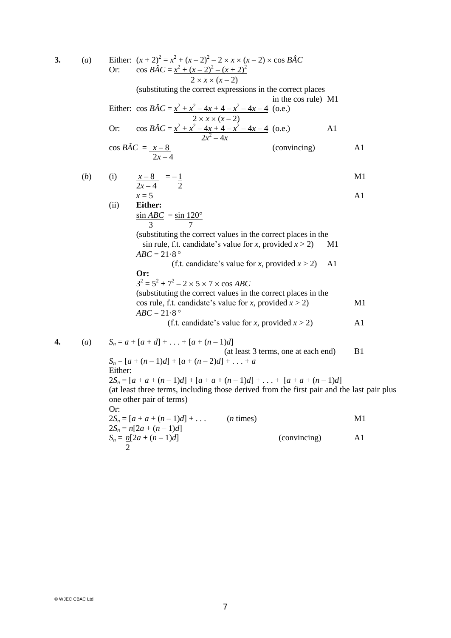3. (a) Either: 
$$
(x + 2)^2 = x^2 + (x - 2)^2 - 2 \times x \times (x - 2) \times \cos BAC
$$
  
\nOr:  $\cos BAC = \frac{x^2 + (x - 2)^2 - (x + 2)^2}{2 \times x \times (x - 2)}$   
\n(substituting the correct expressions in the correct places  
\nin the cos rule) M1  
\nEither:  $\cos BAC = \frac{x^2 + x^2 - 4x + 4 - x^2 - 4x - 4}{2 \times x \times (x - 2)}$   
\nOr:  $\cos BAC = \frac{x^2 + x^2 - 4x + 4 - x^2 - 4x - 4}{2x^2 - 4x}$  (conving)  
\nA1  
\n $\cos BAC = \frac{x - 8}{2x - 4}$  (conving)  
\n(i)  $\frac{x - 8}{2x - 4} = -1$   
\n(ii) Either:  
\n $\frac{\sin ABC}{3} = \frac{\sin 120^\circ}{3}$   
\n(substituting the correct values in the correct places in the  
\n(s) in rule, f.t. candidate's value for x, provided  $x > 2$ ) M1  
\n $ABC = 21.8^\circ$   
\n(f.t. candidate's value for x, provided  $x > 2$ ) M1  
\n $ABC = 21.8^\circ$   
\n(f.t. candidate's value for x, provided  $x > 2$ ) M1  
\n $ABC = 21.8^\circ$   
\n(f.t. candidate's value for x, provided  $x > 2$ ) M1  
\n $ABC = 21.8^\circ$   
\n(f.t. candidate's value for x, provided  $x > 2$ ) M1  
\n $ABC = 21.8^\circ$   
\n(f.t. candidate's value for x, provided  $x > 2$ ) M1  
\n $ABC = 21.8^\circ$   
\n $BC = 21.8^\circ$   
\n $BC = 21.8^\circ$   
\n $BC = 21.8^\circ$   
\n $BC = 21.8^\circ$   
\n $BC = 21.8^\circ$   
\n $BC = 21.8^\circ$   
\n $BC = 21.8^\circ$   
\n $BC = 21.8^\circ$   
\n $BC = 21.8^\circ$   
\

© WJEC CBAC Ltd.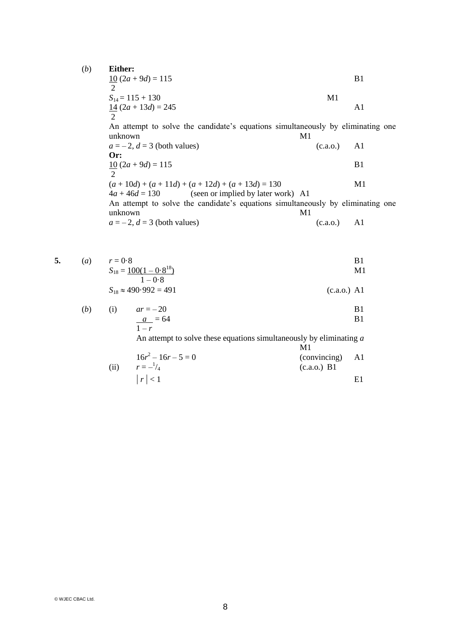(*b*) **Either:**

10 (2*a* + 9*d*) = 115 B1 2 *S*14 = 115 + 130 M1 14 (2*a* + 13*d*) = 245 A1 2 An attempt to solve the candidate's equations simultaneously by eliminating one unknown M1 *a* = – 2, *d* = 3 (both values) (c.a.o.) A1 **Or:** 10 (2*a* + 9*d*) = 115 B1 2 (*a* + 10*d*) + (*a* + 11*d*) + (*a* + 12*d*) + (*a* + 13*d*) = 130 M1 4*a* + 46*d* = 130 (seen or implied by later work) A1

An attempt to solve the candidate's equations simultaneously by eliminating one unknown M1

$$
a = -2, d = 3
$$
 (both values) (c.a.o.) A1

**5.** (*a*)  $r = 0.8$  B1<br> $S_{18} = 100(1 - 0.8^{18})$  M1  $S_{18} = 100(1 - 0.8)$  $\frac{18}{18}$  M1  $1 - 0.8$ 

$$
S_{18} \approx 490.992 = 491 \tag{c.a.o.) A1}
$$

(b) (i) 
$$
ar = -20
$$
  
\n $\frac{a}{1-r} = 64$  B1

An attempt to solve these equations simultaneously by eliminating *a* M1

(ii) 
$$
16r^2 - 16r - 5 = 0
$$
 (convincing) A1  
\n(*r*)  $r = -\frac{1}{4}$  (*c.a.o.*) B1  
\n[*r*] < 1

© WJEC CBAC Ltd.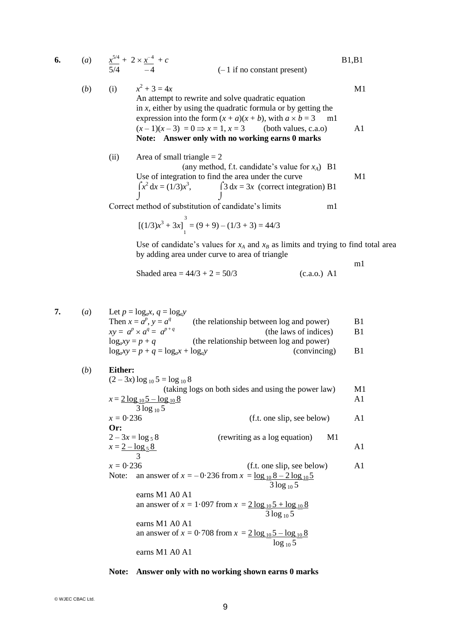6. (a) 
$$
\frac{x^{5/4}}{5/4} + 2 \times \frac{x^{-4}}{-4} + c
$$
 [B1,B1]  
\n(b) (i)  $x^2 + 3 = 4x$    
\nAn attempt to rewrite and solve quadratic equation  
\nin *x*, either by using the quadratic formula or by getting the  
\nexpression into the form  $(x + a)(x + b)$ , with  $a \times b = 3$    
\nand  
\n $(x - 1)(x - 3) = 0 \Rightarrow x = 1, x = 3$  (both values, c.a.o)   
\n**Note: Answer only with no working earns 0 marks**  
\n(ii) Area of small triangle = 2  
\n(any method, f.t. candidate's value for *x*<sub>A</sub>)   
\nUse of integration to find the area under the curve  
\n
$$
\int x^2 dx = (1/3)x^3, \qquad \int 3 dx = 3x
$$
 (correct integration) B1

Correct method of substitution of candidate's limits m1

$$
[(1/3)x3 + 3x]13 = (9 + 9) – (1/3 + 3) = 44/3
$$

Use of candidate's values for  $x_A$  and  $x_B$  as limits and trying to find total area by adding area under curve to area of triangle

m1

Shaded area = 
$$
44/3 + 2 = 50/3
$$
 (c.a.o.) A1

7. (*a*) Let  $p = log_a x$ ,  $q = log_a y$ 

Then  $x = a^p$ ,  $y = a^q$ (the relationship between log and power) B1  $xy = a^p \times a^q = a^{p+q}$ (the laws of indices) B1 (the relationship between log and power)<br> $log_a y$  (convincing)  $\log_a xy = p + q = \log_a x + \log_a y$  (convincing) B1

(b) Either:  
\n
$$
(2-3x) \log_{10} 5 = \log_{10} 8
$$
  
\n $(\text{taking logs on both sides and using the power law})$  M1  
\n $x = 2 \log_{10} 5 - \log_{10} 8$   
\n $3 \log_{10} 5$   
\n $x = 0.236$   
\n**Or:**  
\n $2-3x = \log_5 8$   
\n $3$   
\n $x = 2 - \log_5 8$   
\n $3$   
\n $x = 0.236$   
\n $\text{Note: an answer of } x = -0.236 \text{ from } x = \frac{\log_{10} 8 - 2 \log_{10} 5}{3 \log_{10} 5}$   
\n $\text{earns } M1 \text{ A0 A1}$   
\n $\text{an answer of } x = 1.097 \text{ from } x = 2 \log_{10} 5 + \log_{10} 8$   
\n $\text{earns } M1 \text{ A0 A1}$   
\n $\text{an answer of } x = 0.708 \text{ from } x = 2 \log_{10} 5 - \log_{10} 8$   
\n $\log_{10} 5$   
\n $\text{earns } M1 \text{ A0 A1}$   
\n $\text{an answer of } x = 0.708 \text{ from } x = 2 \log_{10} 5 - \log_{10} 8$   
\n $\log_{10} 5$   
\n $\text{earns } M1 \text{ A0 A1}$ 

## **Note: Answer only with no working shown earns 0 marks**